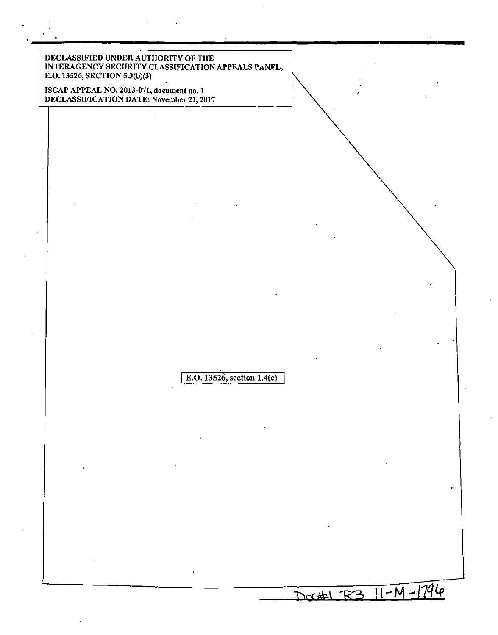DECLASSIFIED UNDER AUTHORITY OF THE INTERAGENCY SECURITY CLASSIFICATION APPEALS PANEL, E.O. 13526, SECTION 5.3(b)(3) ISCAP APPEAL NO. 2013-071, document no. 1 DECLASSIFICATION DATE: November 21, 2017 E.O. *13Si6,* section l.4(c) J DOC#1 R3 11-M-1794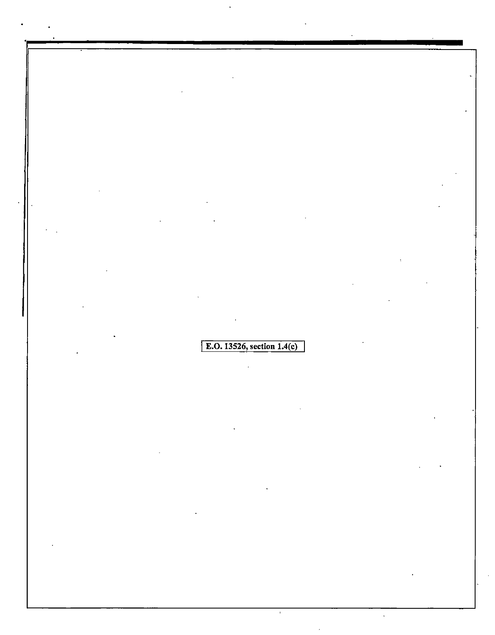E.O. 13526, section  $1.4(c)$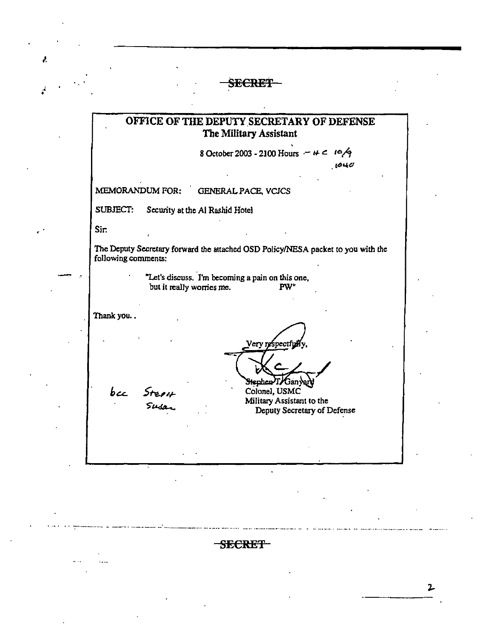## SECRET

Å,

# OFFICE OF THE DEPUTY SECRETARY OF DEFENSE The Military Assistant 8 October 2003 - 2100 Hours  $- +$   $-$  10/9  $1040$ MEMORANDUM FOR: **GENERAL PACE, VCJCS** SUBJECT: Security at the Al Rashid Hotel Sir. The Deputy Secretary forward the attached OSD Policy/NESA packet to you with the following comments: "Let's discuss. I'm becoming a pain on this one, but it really worries me. PW" Thank you.. Very respectfu Henhen T/Ganyar bec Stepi Colonel, USMC Military Assistant to the Deputy Secretary of Defense

-SECRET-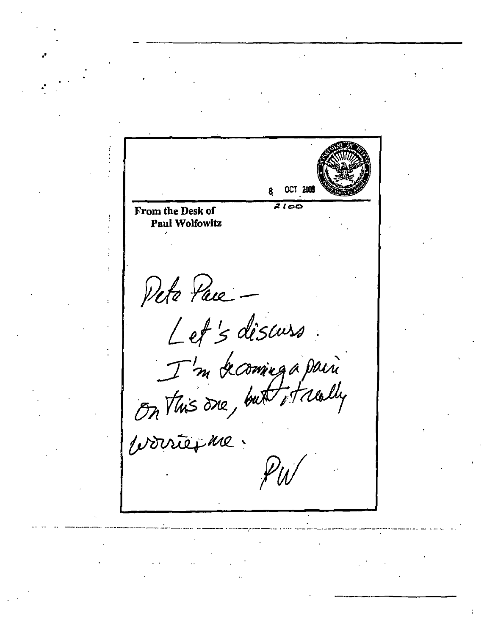OCT 2005  $2100$ From the Desk of Paul Wolfowitz Pete Pace Let's discuss<br>I'm becoming a pain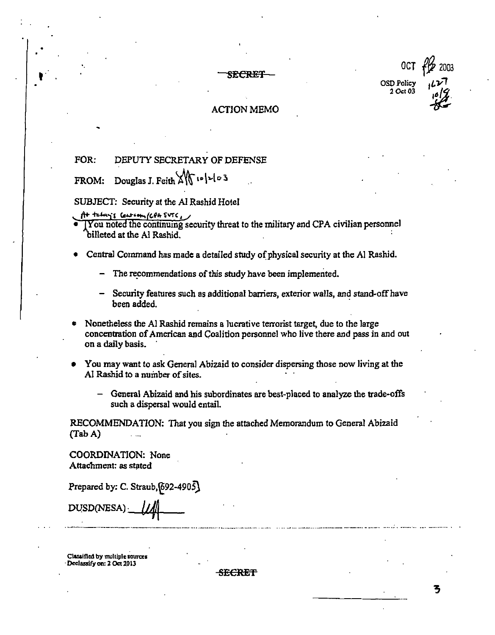OSD Policy<br>2 Oct 03  $\frac{1}{2}$ <br>
SECRET - OSD Policy<br>  $2 \cot 03 \left| \frac{1}{2} \right|$ <br>
ACTION MEMO

OCT f*P,* <sup>2003</sup>



#### ACTION MEMO

## FOR: DEPUTY SECRETARY OF DEFENSE

FROM: Douglas J. Feith  $\frac{1}{\sqrt{6}}$  io |2/03

#### SUBJECT: Security at the Al Rashid Hotel

- $ft$  telay; center (CPA SVTC, )
- $\overline{1 \text{You noted the continuing security threat to the military and CPA civilian personnel}}$ billeted at the Al Rashid.
- Central Command has made a detailed study of physical security at the Al Rashid.
	- The recommendations of this study have been implemented.
	- Security features such as additional barriers, exterior walls, and stand-off have been added.
- Nonetheless the Al Rashid remains a lucrative terrorist target, due to the large concentration ofAmerican and Coalition personnel who live there and pass in and out on a daily basis.
- You may want to ask General Abizaid to consider dispersing those now living at the Al Rashid to a number of sites.
	- General Abizaid and his subordinates are best-placed to analyze the trade-offs such a dispersal would entail.

RECOMMENDATION: That you sign the attached Memorandum to General Abizaid (Tab A)

COORDINATION: None Attachment: as stated

Prepared by: C. Straub, $692-4905$ 

DUSD(NESA) ·

**CllSiified by multiple aources**  Declassify on: 2 Oct 2013

SECRET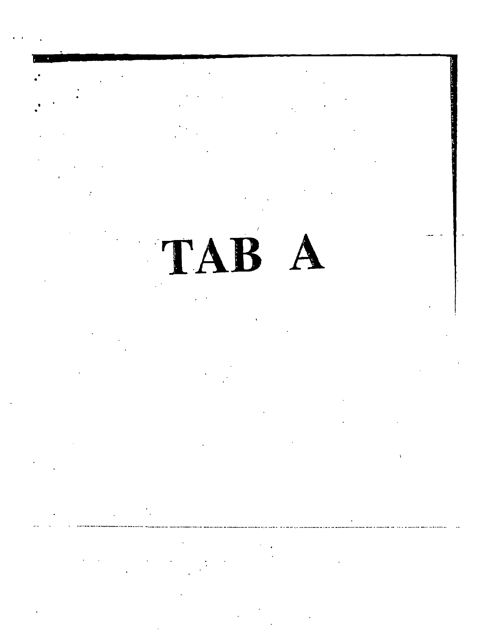TAB A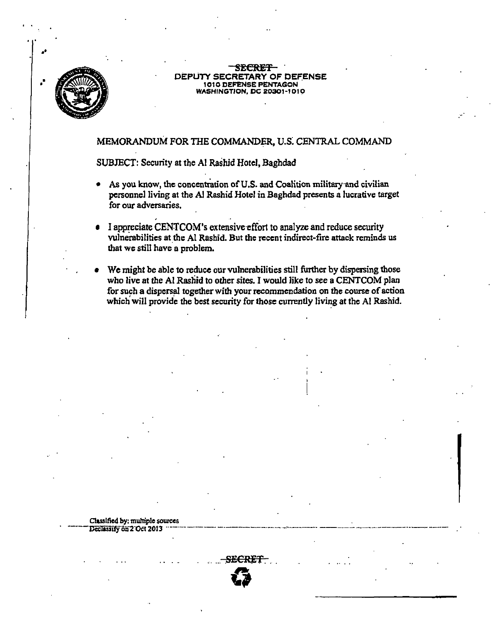

#### SECRET DEPUTY SECRETARY OF DEFENSE 1010 DEFENSE PENTAGON **WASHINGTION, DC 20301-1010**

#### MEMORANDUM FOR THE COMMANDER, U.S. CENTRAL COMMAND

#### SUBJECT: Security at the Al Rashid Hotel, Baghdad

- As you know, the concentration of U.S. and Coalition military and civilian personnel living at the Al Rashid Hotel in Baghdad presents a lucrative target for our adversaries.
- I appreciate CENTCOM's extensive effort to analyze and reduce security vulnerabilities at the Al Rashid. But the recent indirect-fire attack reminds us that we still have a problem.
- We might be able to reduce our vulnerabilities still further by dispersing those who live at the Al Rashid to other sites. I would like to see a CENTCOM plan for such a dispersal together with your recommendation on the course of action which will provide the best security for those currently living at the Al Rashid.

Classified by: multiple sources Declassify on 2 Oct 2013

SECRET